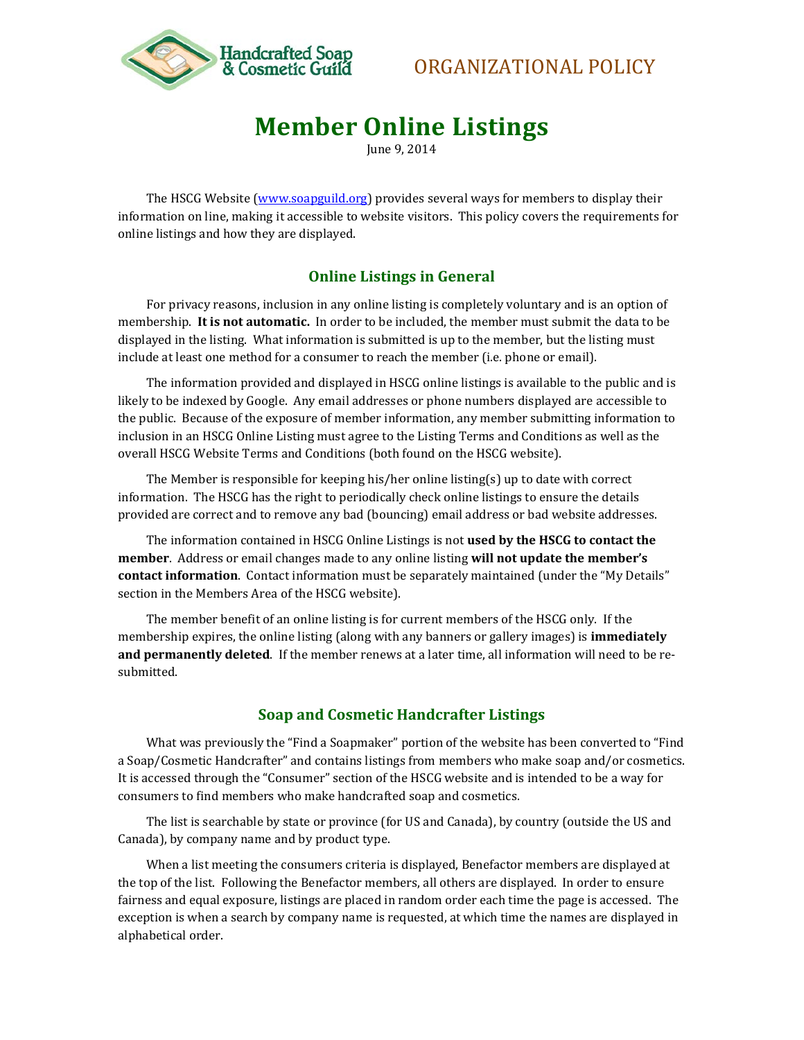

# ORGANIZATIONAL POLICY

# **Member Online Listings**

June 9, 2014

The HSCG Website [\(www.soapguild.org\)](http://www.soapguild.org/) provides several ways for members to display their information on line, making it accessible to website visitors. This policy covers the requirements for online listings and how they are displayed.

#### **Online Listings in General**

For privacy reasons, inclusion in any online listing is completely voluntary and is an option of membership. **It is not automatic.** In order to be included, the member must submit the data to be displayed in the listing. What information is submitted is up to the member, but the listing must include at least one method for a consumer to reach the member (i.e. phone or email).

The information provided and displayed in HSCG online listings is available to the public and is likely to be indexed by Google. Any email addresses or phone numbers displayed are accessible to the public. Because of the exposure of member information, any member submitting information to inclusion in an HSCG Online Listing must agree to the Listing Terms and Conditions as well as the overall HSCG Website Terms and Conditions (both found on the HSCG website).

The Member is responsible for keeping his/her online listing(s) up to date with correct information. The HSCG has the right to periodically check online listings to ensure the details provided are correct and to remove any bad (bouncing) email address or bad website addresses.

The information contained in HSCG Online Listings is not **used by the HSCG to contact the member**. Address or email changes made to any online listing **will not update the member's contact information**. Contact information must be separately maintained (under the "My Details" section in the Members Area of the HSCG website).

The member benefit of an online listing is for current members of the HSCG only. If the membership expires, the online listing (along with any banners or gallery images) is **immediately and permanently deleted**. If the member renews at a later time, all information will need to be resubmitted.

#### **Soap and Cosmetic Handcrafter Listings**

What was previously the "Find a Soapmaker" portion of the website has been converted to "Find a Soap/Cosmetic Handcrafter" and contains listings from members who make soap and/or cosmetics. It is accessed through the "Consumer" section of the HSCG website and is intended to be a way for consumers to find members who make handcrafted soap and cosmetics.

The list is searchable by state or province (for US and Canada), by country (outside the US and Canada), by company name and by product type.

When a list meeting the consumers criteria is displayed, Benefactor members are displayed at the top of the list. Following the Benefactor members, all others are displayed. In order to ensure fairness and equal exposure, listings are placed in random order each time the page is accessed. The exception is when a search by company name is requested, at which time the names are displayed in alphabetical order.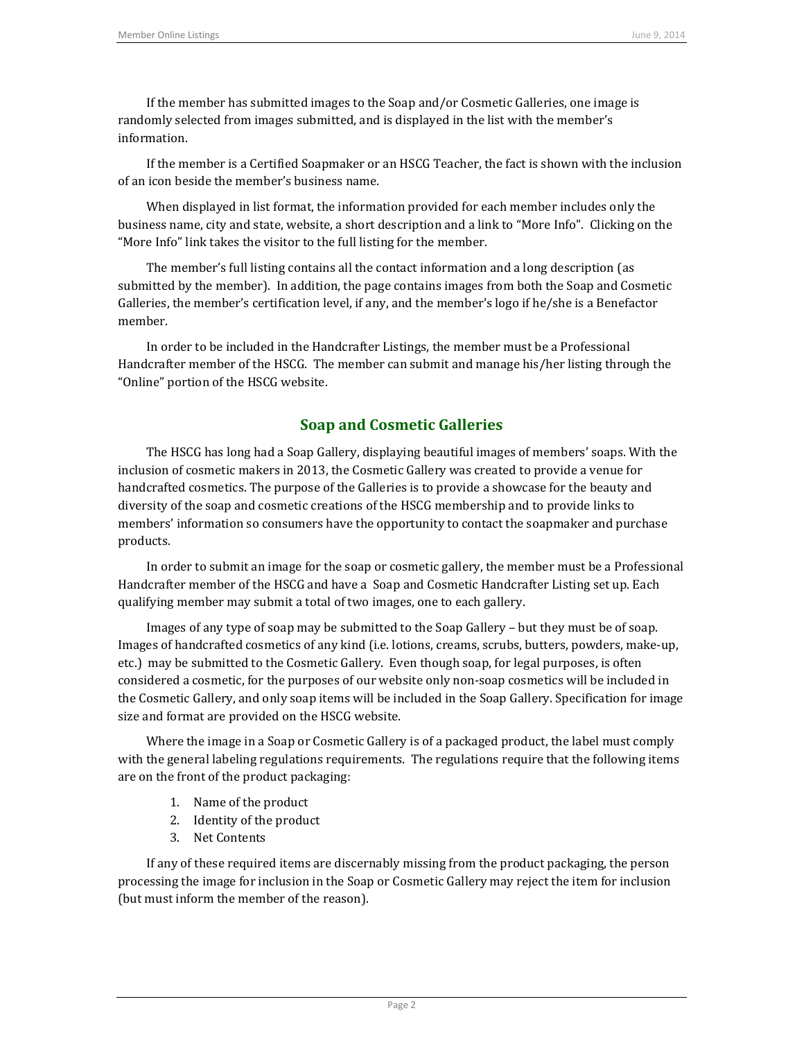If the member has submitted images to the Soap and/or Cosmetic Galleries, one image is randomly selected from images submitted, and is displayed in the list with the member's information.

If the member is a Certified Soapmaker or an HSCG Teacher, the fact is shown with the inclusion of an icon beside the member's business name.

When displayed in list format, the information provided for each member includes only the business name, city and state, website, a short description and a link to "More Info". Clicking on the "More Info" link takes the visitor to the full listing for the member.

The member's full listing contains all the contact information and a long description (as submitted by the member). In addition, the page contains images from both the Soap and Cosmetic Galleries, the member's certification level, if any, and the member's logo if he/she is a Benefactor member.

In order to be included in the Handcrafter Listings, the member must be a Professional Handcrafter member of the HSCG. The member can submit and manage his/her listing through the "Online" portion of the HSCG website.

# **Soap and Cosmetic Galleries**

The HSCG has long had a Soap Gallery, displaying beautiful images of members' soaps. With the inclusion of cosmetic makers in 2013, the Cosmetic Gallery was created to provide a venue for handcrafted cosmetics. The purpose of the Galleries is to provide a showcase for the beauty and diversity of the soap and cosmetic creations of the HSCG membership and to provide links to members' information so consumers have the opportunity to contact the soapmaker and purchase products.

In order to submit an image for the soap or cosmetic gallery, the member must be a Professional Handcrafter member of the HSCG and have a Soap and Cosmetic Handcrafter Listing set up. Each qualifying member may submit a total of two images, one to each gallery.

Images of any type of soap may be submitted to the Soap Gallery – but they must be of soap. Images of handcrafted cosmetics of any kind (i.e. lotions, creams, scrubs, butters, powders, make-up, etc.) may be submitted to the Cosmetic Gallery. Even though soap, for legal purposes, is often considered a cosmetic, for the purposes of our website only non-soap cosmetics will be included in the Cosmetic Gallery, and only soap items will be included in the Soap Gallery. Specification for image size and format are provided on the HSCG website.

Where the image in a Soap or Cosmetic Gallery is of a packaged product, the label must comply with the general labeling regulations requirements. The regulations require that the following items are on the front of the product packaging:

- 1. Name of the product
- 2. Identity of the product
- 3. Net Contents

If any of these required items are discernably missing from the product packaging, the person processing the image for inclusion in the Soap or Cosmetic Gallery may reject the item for inclusion (but must inform the member of the reason).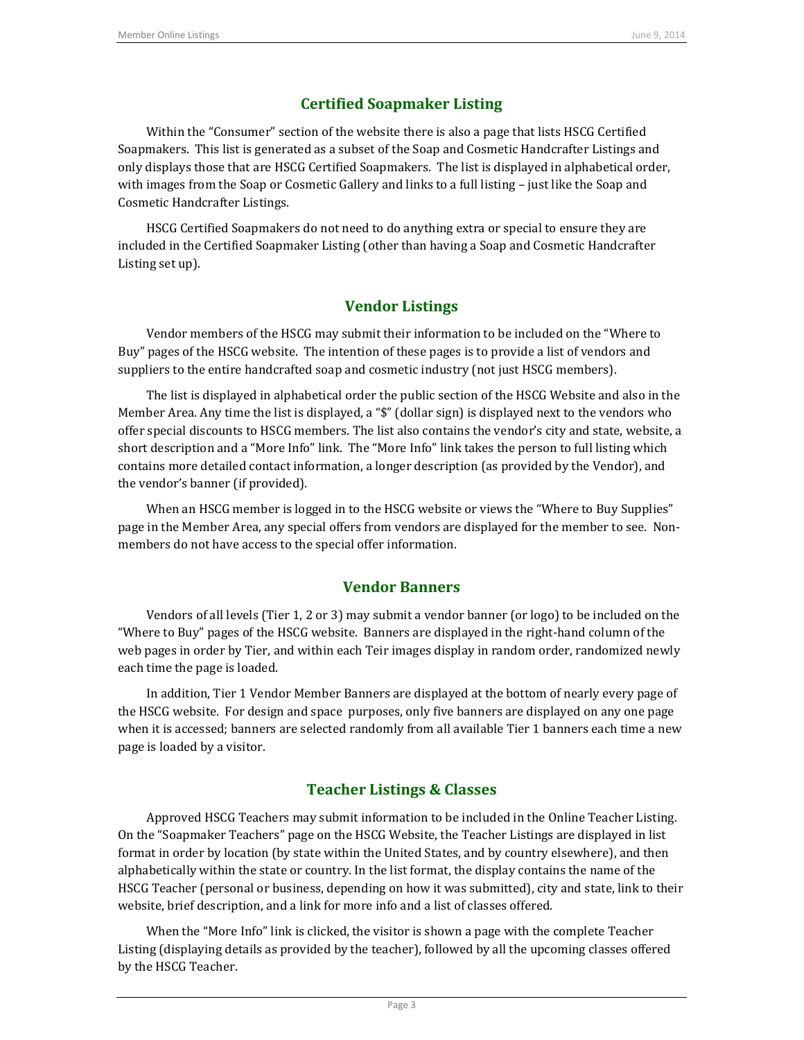# **Certified Soapmaker Listing**

Within the "Consumer" section of the website there is also a page that lists HSCG Certified Soapmakers. This list is generated as a subset of the Soap and Cosmetic Handcrafter Listings and only displays those that are HSCG Certified Soapmakers. The list is displayed in alphabetical order, with images from the Soap or Cosmetic Gallery and links to a full listing – just like the Soap and Cosmetic Handcrafter Listings.

HSCG Certified Soapmakers do not need to do anything extra or special to ensure they are included in the Certified Soapmaker Listing (other than having a Soap and Cosmetic Handcrafter Listing set up).

# **Vendor Listings**

Vendor members of the HSCG may submit their information to be included on the "Where to Buy" pages of the HSCG website. The intention of these pages is to provide a list of vendors and suppliers to the entire handcrafted soap and cosmetic industry (not just HSCG members).

The list is displayed in alphabetical order the public section of the HSCG Website and also in the Member Area. Any time the list is displayed, a "\$" (dollar sign) is displayed next to the vendors who offer special discounts to HSCG members. The list also contains the vendor's city and state, website, a short description and a "More Info" link. The "More Info" link takes the person to full listing which contains more detailed contact information, a longer description (as provided by the Vendor), and the vendor's banner (if provided).

When an HSCG member is logged in to the HSCG website or views the "Where to Buy Supplies" page in the Member Area, any special offers from vendors are displayed for the member to see. Nonmembers do not have access to the special offer information.

## **Vendor Banners**

Vendors of all levels (Tier 1, 2 or 3) may submit a vendor banner (or logo) to be included on the "Where to Buy" pages of the HSCG website. Banners are displayed in the right-hand column of the web pages in order by Tier, and within each Teir images display in random order, randomized newly each time the page is loaded.

In addition, Tier 1 Vendor Member Banners are displayed at the bottom of nearly every page of the HSCG website. For design and space purposes, only five banners are displayed on any one page when it is accessed; banners are selected randomly from all available Tier 1 banners each time a new page is loaded by a visitor.

## **Teacher Listings & Classes**

Approved HSCG Teachers may submit information to be included in the Online Teacher Listing. On the "Soapmaker Teachers" page on the HSCG Website, the Teacher Listings are displayed in list format in order by location (by state within the United States, and by country elsewhere), and then alphabetically within the state or country. In the list format, the display contains the name of the HSCG Teacher (personal or business, depending on how it was submitted), city and state, link to their website, brief description, and a link for more info and a list of classes offered.

When the "More Info" link is clicked, the visitor is shown a page with the complete Teacher Listing (displaying details as provided by the teacher), followed by all the upcoming classes offered by the HSCG Teacher.

Page 3